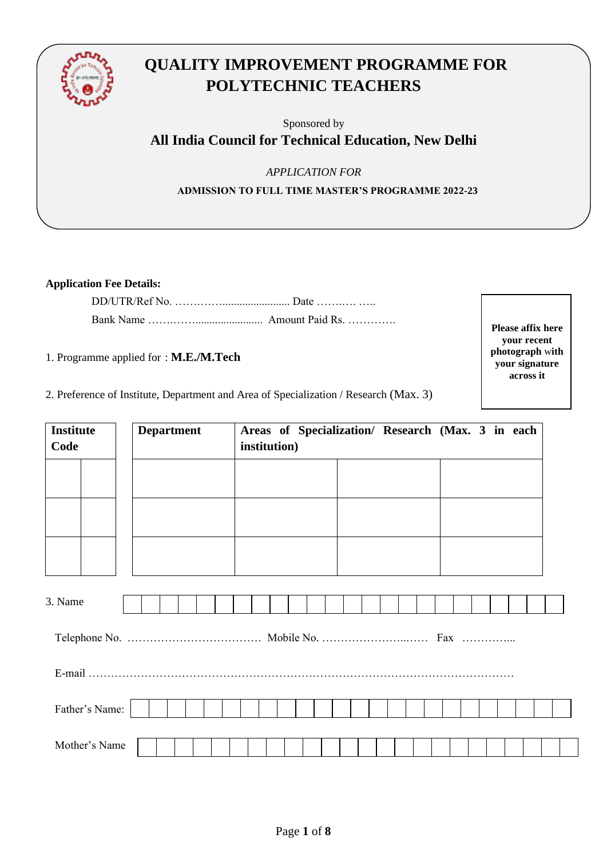

# **QUALITY IMPROVEMENT PROGRAMME FOR POLYTECHNIC TEACHERS**

Sponsored by

# **All India Council for Technical Education, New Delhi**

*APPLICATION FOR* 

**ADMISSION TO FULL TIME MASTER'S PROGRAMME 2022-23**

**Application Fee Details:** 

1. Programme applied for : **M.E./M.Tech**

2. Preference of Institute, Department and Area of Specialization / Research (Max. 3)

3. Name Telephone No. ……………………………… Mobile No. …………………..…… Fax …………... E-mail …………………………………………………………………………………………………… Father's Name: Mother's Name **Institute Code Department Areas of Specialization/ Research (Max. 3 in each institution)**

**Please affix here your recent photograph** w**ith your signature across it**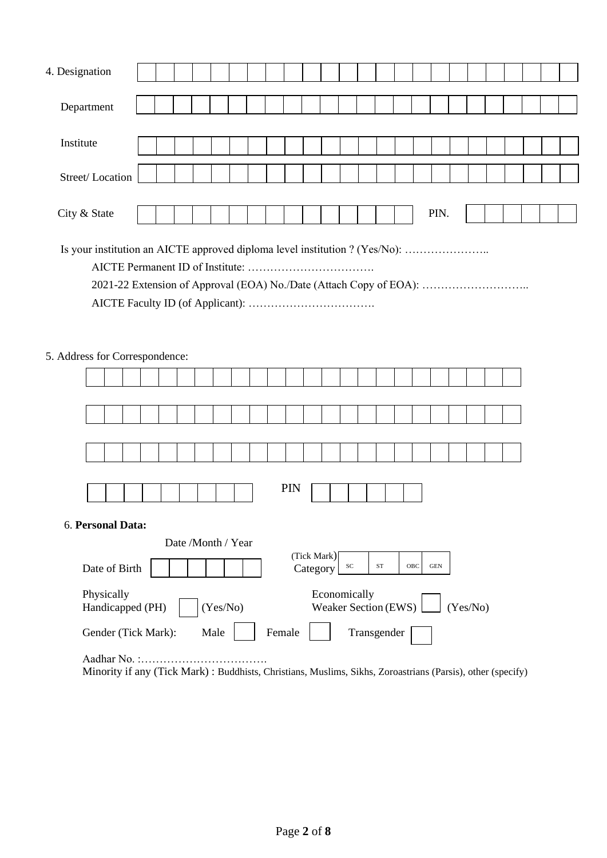| 4. Designation                                                                                               |  |  |  |  |                    |  |  |  |     |  |                      |  |  |      |          |  |  |  |
|--------------------------------------------------------------------------------------------------------------|--|--|--|--|--------------------|--|--|--|-----|--|----------------------|--|--|------|----------|--|--|--|
|                                                                                                              |  |  |  |  |                    |  |  |  |     |  |                      |  |  |      |          |  |  |  |
| Department                                                                                                   |  |  |  |  |                    |  |  |  |     |  |                      |  |  |      |          |  |  |  |
|                                                                                                              |  |  |  |  |                    |  |  |  |     |  |                      |  |  |      |          |  |  |  |
| Institute                                                                                                    |  |  |  |  |                    |  |  |  |     |  |                      |  |  |      |          |  |  |  |
|                                                                                                              |  |  |  |  |                    |  |  |  |     |  |                      |  |  |      |          |  |  |  |
| Street/Location                                                                                              |  |  |  |  |                    |  |  |  |     |  |                      |  |  |      |          |  |  |  |
|                                                                                                              |  |  |  |  |                    |  |  |  |     |  |                      |  |  |      |          |  |  |  |
| City & State                                                                                                 |  |  |  |  |                    |  |  |  |     |  |                      |  |  | PIN. |          |  |  |  |
|                                                                                                              |  |  |  |  |                    |  |  |  |     |  |                      |  |  |      |          |  |  |  |
| Is your institution an AICTE approved diploma level institution ? (Yes/No):                                  |  |  |  |  |                    |  |  |  |     |  |                      |  |  |      |          |  |  |  |
|                                                                                                              |  |  |  |  |                    |  |  |  |     |  |                      |  |  |      |          |  |  |  |
|                                                                                                              |  |  |  |  |                    |  |  |  |     |  |                      |  |  |      |          |  |  |  |
| 2021-22 Extension of Approval (EOA) No./Date (Attach Copy of EOA):                                           |  |  |  |  |                    |  |  |  |     |  |                      |  |  |      |          |  |  |  |
|                                                                                                              |  |  |  |  |                    |  |  |  |     |  |                      |  |  |      |          |  |  |  |
|                                                                                                              |  |  |  |  |                    |  |  |  |     |  |                      |  |  |      |          |  |  |  |
|                                                                                                              |  |  |  |  |                    |  |  |  |     |  |                      |  |  |      |          |  |  |  |
| 5. Address for Correspondence:                                                                               |  |  |  |  |                    |  |  |  |     |  |                      |  |  |      |          |  |  |  |
|                                                                                                              |  |  |  |  |                    |  |  |  |     |  |                      |  |  |      |          |  |  |  |
|                                                                                                              |  |  |  |  |                    |  |  |  |     |  |                      |  |  |      |          |  |  |  |
|                                                                                                              |  |  |  |  |                    |  |  |  |     |  |                      |  |  |      |          |  |  |  |
|                                                                                                              |  |  |  |  |                    |  |  |  |     |  |                      |  |  |      |          |  |  |  |
|                                                                                                              |  |  |  |  |                    |  |  |  |     |  |                      |  |  |      |          |  |  |  |
|                                                                                                              |  |  |  |  |                    |  |  |  |     |  |                      |  |  |      |          |  |  |  |
|                                                                                                              |  |  |  |  |                    |  |  |  |     |  |                      |  |  |      |          |  |  |  |
|                                                                                                              |  |  |  |  |                    |  |  |  | PIN |  |                      |  |  |      |          |  |  |  |
|                                                                                                              |  |  |  |  |                    |  |  |  |     |  |                      |  |  |      |          |  |  |  |
| 6. Personal Data:                                                                                            |  |  |  |  |                    |  |  |  |     |  |                      |  |  |      |          |  |  |  |
|                                                                                                              |  |  |  |  | Date /Month / Year |  |  |  |     |  |                      |  |  |      |          |  |  |  |
| (Tick Mark)<br>${\rm SC}$<br>$\operatorname{ST}$<br>OBC<br>$\operatorname{GEN}$<br>Date of Birth<br>Category |  |  |  |  |                    |  |  |  |     |  |                      |  |  |      |          |  |  |  |
| Physically                                                                                                   |  |  |  |  |                    |  |  |  |     |  | Economically         |  |  |      |          |  |  |  |
| Handicapped (PH)                                                                                             |  |  |  |  | (Yes/No)           |  |  |  |     |  | Weaker Section (EWS) |  |  |      | (Yes/No) |  |  |  |
| Female<br>Transgender<br>Gender (Tick Mark):<br>Male                                                         |  |  |  |  |                    |  |  |  |     |  |                      |  |  |      |          |  |  |  |

Aadhar No. :……………………………. Minority if any (Tick Mark) : Buddhists, Christians, Muslims, Sikhs, Zoroastrians (Parsis), other (specify)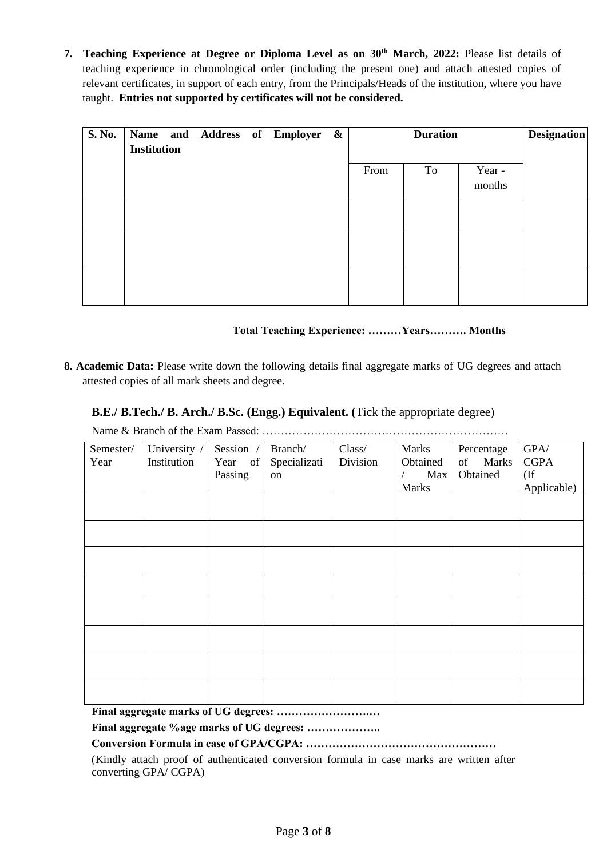**7. Teaching Experience at Degree or Diploma Level as on 30th March, 2022:** Please list details of teaching experience in chronological order (including the present one) and attach attested copies of relevant certificates, in support of each entry, from the Principals/Heads of the institution, where you have taught. **Entries not supported by certificates will not be considered.**

| S. No. | Name and Address of Employer &<br><b>Institution</b> |  |  | <b>Duration</b> |    |                  | <b>Designation</b> |
|--------|------------------------------------------------------|--|--|-----------------|----|------------------|--------------------|
|        |                                                      |  |  | From            | To | Year -<br>months |                    |
|        |                                                      |  |  |                 |    |                  |                    |
|        |                                                      |  |  |                 |    |                  |                    |
|        |                                                      |  |  |                 |    |                  |                    |

## **Total Teaching Experience: ………Years………. Months**

**8. Academic Data:** Please write down the following details final aggregate marks of UG degrees and attach attested copies of all mark sheets and degree.

# **B.E./ B.Tech./ B. Arch./ B.Sc. (Engg.) Equivalent. (**Tick the appropriate degree)

Name & Branch of the Exam Passed: …………………………………………………………

| Semester/<br>Year | University /<br>Institution | Session /<br>Year of<br>Passing | Branch/<br>Specializati<br>on | Class/<br>Division | Marks<br>Obtained<br>Max | Percentage<br>of Marks<br>Obtained | $\mbox{GPA} /$<br><b>CGPA</b><br>$($ If |
|-------------------|-----------------------------|---------------------------------|-------------------------------|--------------------|--------------------------|------------------------------------|-----------------------------------------|
|                   |                             |                                 |                               |                    | <b>Marks</b>             |                                    | Applicable)                             |
|                   |                             |                                 |                               |                    |                          |                                    |                                         |
|                   |                             |                                 |                               |                    |                          |                                    |                                         |
|                   |                             |                                 |                               |                    |                          |                                    |                                         |
|                   |                             |                                 |                               |                    |                          |                                    |                                         |
|                   |                             |                                 |                               |                    |                          |                                    |                                         |
|                   |                             |                                 |                               |                    |                          |                                    |                                         |
|                   |                             |                                 |                               |                    |                          |                                    |                                         |
|                   |                             |                                 |                               |                    |                          |                                    |                                         |

**Final aggregate marks of UG degrees: …………………….…** 

**Final aggregate %age marks of UG degrees: ………………..** 

#### **Conversion Formula in case of GPA/CGPA: ……………………………………………**

(Kindly attach proof of authenticated conversion formula in case marks are written after converting GPA/ CGPA)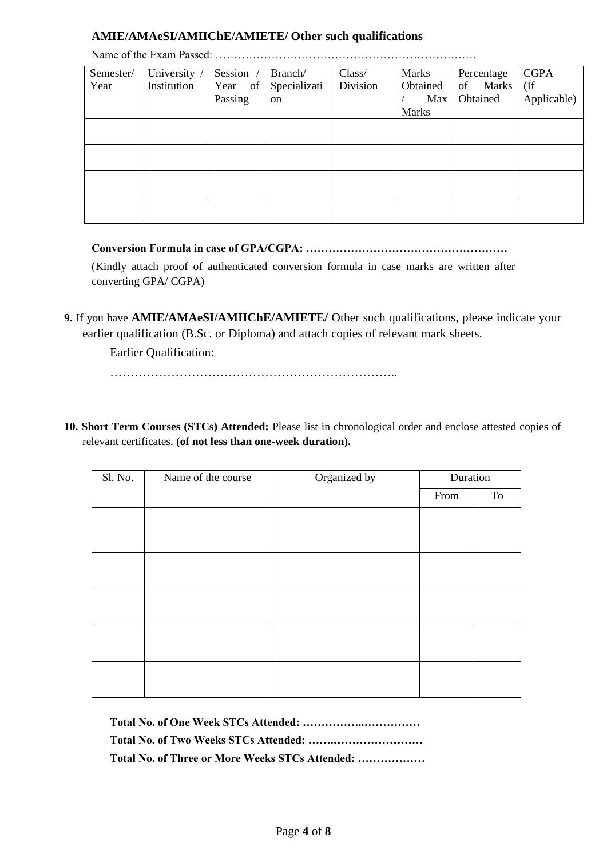# **AMIE/AMAeSI/AMIIChE/AMIETE/ Other such qualifications**

| Semester/ | University / | Session | Branch/      | Class/   | Marks        | Percentage  | <b>CGPA</b> |
|-----------|--------------|---------|--------------|----------|--------------|-------------|-------------|
| Year      | Institution  | Year of | Specializati | Division | Obtained     | of<br>Marks | $($ If      |
|           |              | Passing | on           |          | Max          | Obtained    | Applicable) |
|           |              |         |              |          | <b>Marks</b> |             |             |
|           |              |         |              |          |              |             |             |
|           |              |         |              |          |              |             |             |
|           |              |         |              |          |              |             |             |
|           |              |         |              |          |              |             |             |
|           |              |         |              |          |              |             |             |
|           |              |         |              |          |              |             |             |
|           |              |         |              |          |              |             |             |
|           |              |         |              |          |              |             |             |

Name of the Exam Passed: …………………………………………………………….

**Conversion Formula in case of GPA/CGPA: ………………………………………………** (Kindly attach proof of authenticated conversion formula in case marks are written after converting GPA/ CGPA)

**9.** If you have **AMIE/AMAeSI/AMIIChE/AMIETE/** Other such qualifications, please indicate your earlier qualification (B.Sc. or Diploma) and attach copies of relevant mark sheets.

Earlier Qualification:

……………………………………………………………..

**10. Short Term Courses (STCs) Attended:** Please list in chronological order and enclose attested copies of relevant certificates. **(of not less than one-week duration).**

| Organized by<br>Name of the course |      | Duration |
|------------------------------------|------|----------|
|                                    | From | To       |
|                                    |      |          |
|                                    |      |          |
|                                    |      |          |
|                                    |      |          |
|                                    |      |          |
|                                    |      |          |
|                                    |      |          |
|                                    |      |          |

| Total No. of Three or More Weeks STCs Attended: |
|-------------------------------------------------|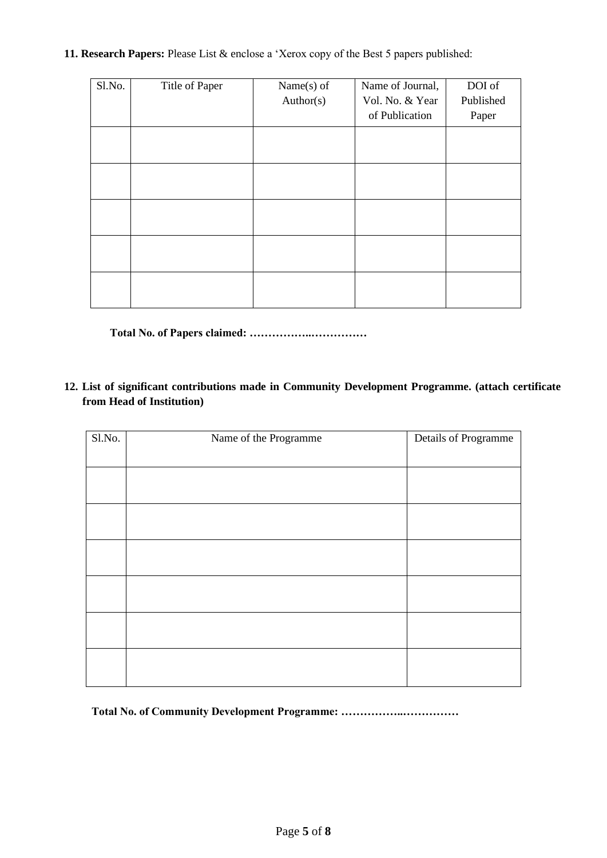**11. Research Papers:** Please List & enclose a 'Xerox copy of the Best 5 papers published:

| Sl.No. | Title of Paper | Name $(s)$ of | Name of Journal, | DOI of    |
|--------|----------------|---------------|------------------|-----------|
|        |                | Author(s)     | Vol. No. & Year  | Published |
|        |                |               | of Publication   | Paper     |
|        |                |               |                  |           |
|        |                |               |                  |           |
|        |                |               |                  |           |
|        |                |               |                  |           |
|        |                |               |                  |           |
|        |                |               |                  |           |
|        |                |               |                  |           |
|        |                |               |                  |           |
|        |                |               |                  |           |
|        |                |               |                  |           |

**Total No. of Papers claimed: ……………..……………**

**12. List of significant contributions made in Community Development Programme. (attach certificate from Head of Institution)**

| Sl.No. | Name of the Programme | Details of Programme |
|--------|-----------------------|----------------------|
|        |                       |                      |
|        |                       |                      |
|        |                       |                      |
|        |                       |                      |
|        |                       |                      |
|        |                       |                      |
|        |                       |                      |

**Total No. of Community Development Programme: ……………..……………**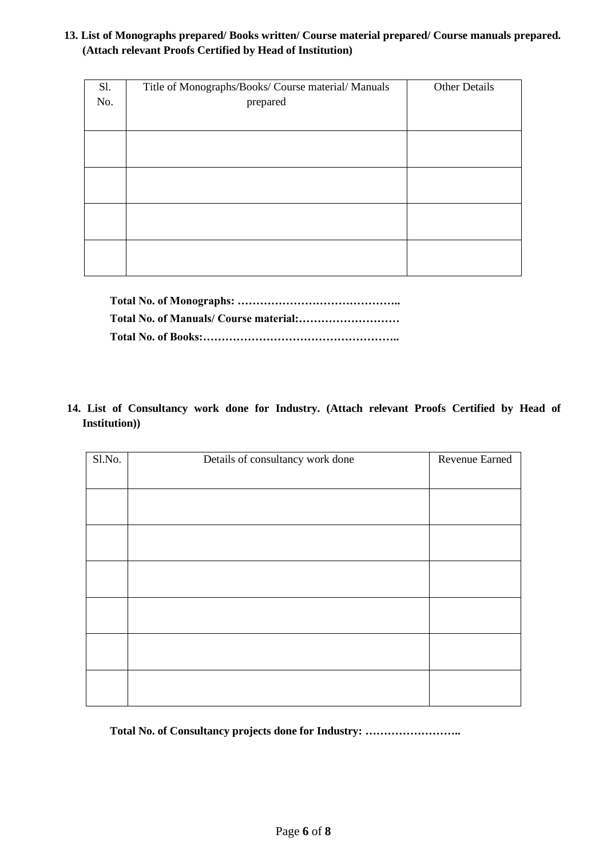## **13. List of Monographs prepared/ Books written/ Course material prepared/ Course manuals prepared. (Attach relevant Proofs Certified by Head of Institution)**

| Sl. | Title of Monographs/Books/ Course material/ Manuals | <b>Other Details</b> |
|-----|-----------------------------------------------------|----------------------|
| No. | prepared                                            |                      |
|     |                                                     |                      |
|     |                                                     |                      |
|     |                                                     |                      |
|     |                                                     |                      |
|     |                                                     |                      |
|     |                                                     |                      |
|     |                                                     |                      |
|     |                                                     |                      |
|     |                                                     |                      |

**14. List of Consultancy work done for Industry. (Attach relevant Proofs Certified by Head of Institution))**

| Sl.No. | Details of consultancy work done | Revenue Earned |
|--------|----------------------------------|----------------|
|        |                                  |                |
|        |                                  |                |
|        |                                  |                |
|        |                                  |                |
|        |                                  |                |
|        |                                  |                |
|        |                                  |                |
|        |                                  |                |
|        |                                  |                |
|        |                                  |                |
|        |                                  |                |
|        |                                  |                |
|        |                                  |                |

**Total No. of Consultancy projects done for Industry: ……………………..**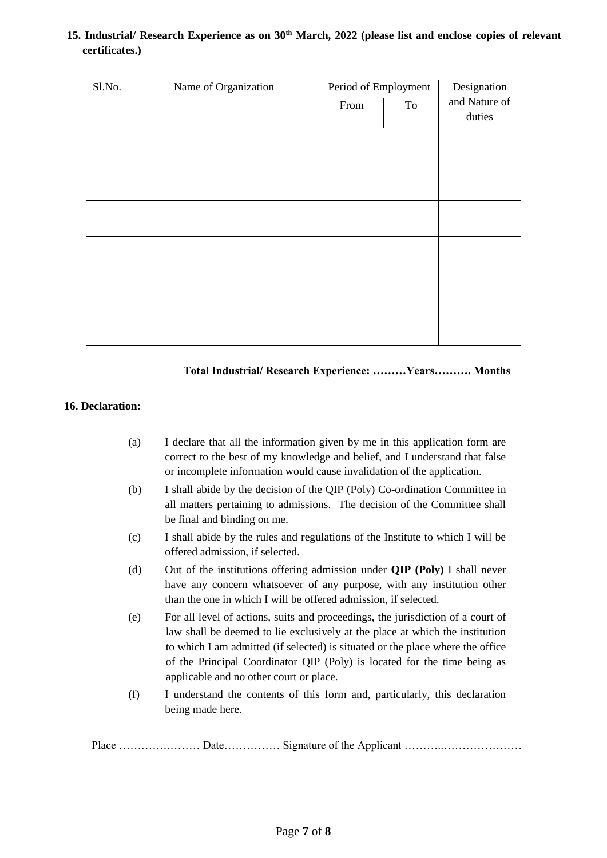#### **15. Industrial/ Research Experience as on 30th March, 2022 (please list and enclose copies of relevant certificates.)**

| Sl.No. | Name of Organization | Period of Employment |    | Designation   |
|--------|----------------------|----------------------|----|---------------|
|        |                      | From                 | To | and Nature of |
|        |                      |                      |    | duties        |
|        |                      |                      |    |               |
|        |                      |                      |    |               |
|        |                      |                      |    |               |
|        |                      |                      |    |               |
|        |                      |                      |    |               |
|        |                      |                      |    |               |
|        |                      |                      |    |               |
|        |                      |                      |    |               |
|        |                      |                      |    |               |
|        |                      |                      |    |               |
|        |                      |                      |    |               |
|        |                      |                      |    |               |

#### **Total Industrial/ Research Experience: ………Years………. Months**

#### **16. Declaration:**

- (a) I declare that all the information given by me in this application form are correct to the best of my knowledge and belief, and I understand that false or incomplete information would cause invalidation of the application.
- (b) I shall abide by the decision of the QIP (Poly) Co-ordination Committee in all matters pertaining to admissions. The decision of the Committee shall be final and binding on me.
- (c) I shall abide by the rules and regulations of the Institute to which I will be offered admission, if selected.
- (d) Out of the institutions offering admission under **QIP (Poly)** I shall never have any concern whatsoever of any purpose, with any institution other than the one in which I will be offered admission, if selected.
- (e) For all level of actions, suits and proceedings, the jurisdiction of a court of law shall be deemed to lie exclusively at the place at which the institution to which I am admitted (if selected) is situated or the place where the office of the Principal Coordinator QIP (Poly) is located for the time being as applicable and no other court or place.
- (f) I understand the contents of this form and, particularly, this declaration being made here.

Place ………….……… Date…………… Signature of the Applicant ………..…………………